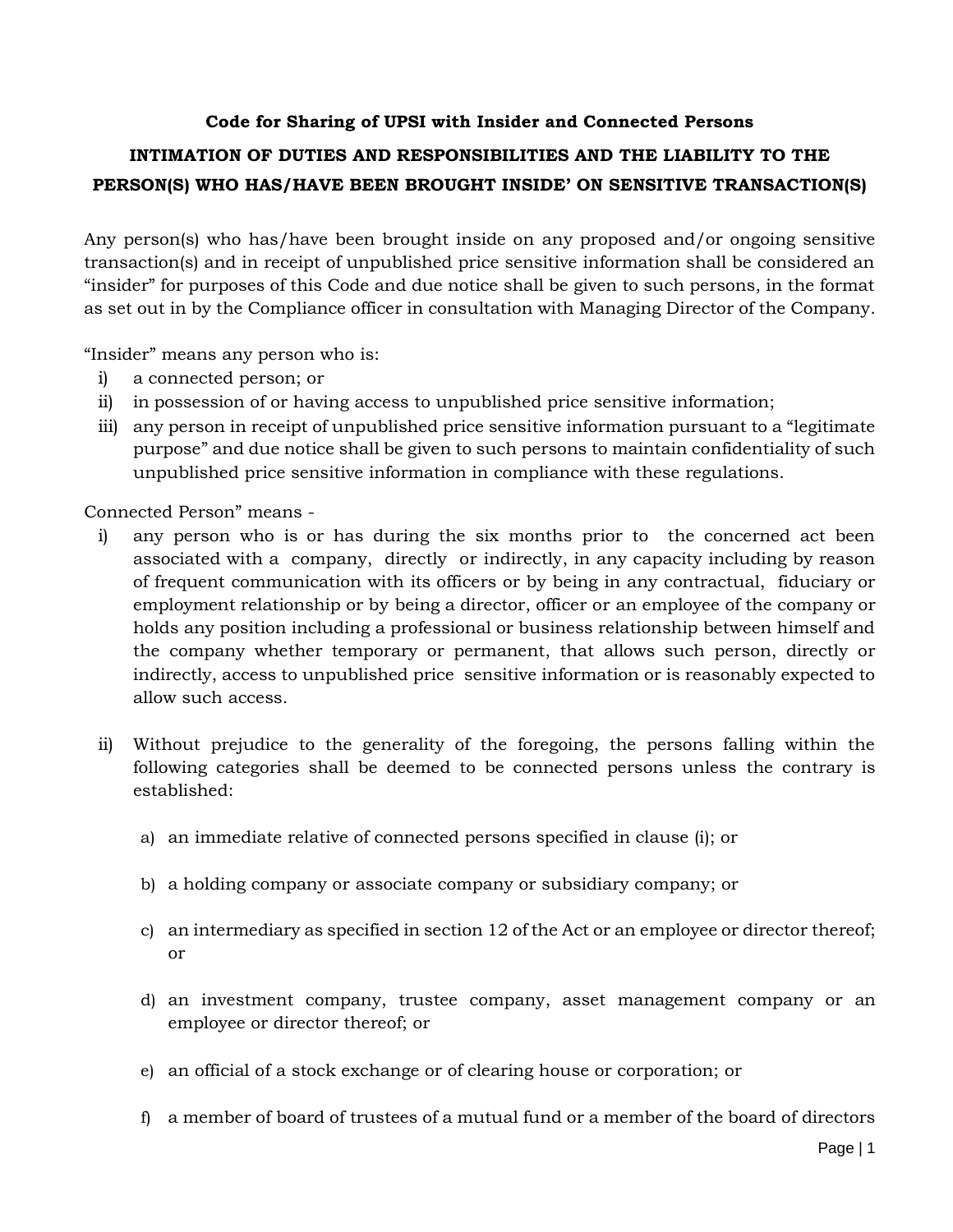## **Code for Sharing of UPSI with Insider and Connected Persons**

## **INTIMATION OF DUTIES AND RESPONSIBILITIES AND THE LIABILITY TO THE PERSON(S) WHO HAS/HAVE BEEN BROUGHT INSIDE' ON SENSITIVE TRANSACTION(S)**

Any person(s) who has/have been brought inside on any proposed and/or ongoing sensitive transaction(s) and in receipt of unpublished price sensitive information shall be considered an "insider" for purposes of this Code and due notice shall be given to such persons, in the format as set out in by the Compliance officer in consultation with Managing Director of the Company.

"Insider" means any person who is:

- i) a connected person; or
- ii) in possession of or having access to unpublished price sensitive information;
- iii) any person in receipt of unpublished price sensitive information pursuant to a "legitimate purpose" and due notice shall be given to such persons to maintain confidentiality of such unpublished price sensitive information in compliance with these regulations.

Connected Person" means -

- i) any person who is or has during the six months prior to the concerned act been associated with a company, directly or indirectly, in any capacity including by reason of frequent communication with its officers or by being in any contractual, fiduciary or employment relationship or by being a director, officer or an employee of the company or holds any position including a professional or business relationship between himself and the company whether temporary or permanent, that allows such person, directly or indirectly, access to unpublished price sensitive information or is reasonably expected to allow such access.
- ii) Without prejudice to the generality of the foregoing, the persons falling within the following categories shall be deemed to be connected persons unless the contrary is established:
	- a) an immediate relative of connected persons specified in clause (i); or
	- b) a holding company or associate company or subsidiary company; or
	- c) an intermediary as specified in section 12 of the Act or an employee or director thereof; or
	- d) an investment company, trustee company, asset management company or an employee or director thereof; or
	- e) an official of a stock exchange or of clearing house or corporation; or
	- f) a member of board of trustees of a mutual fund or a member of the board of directors